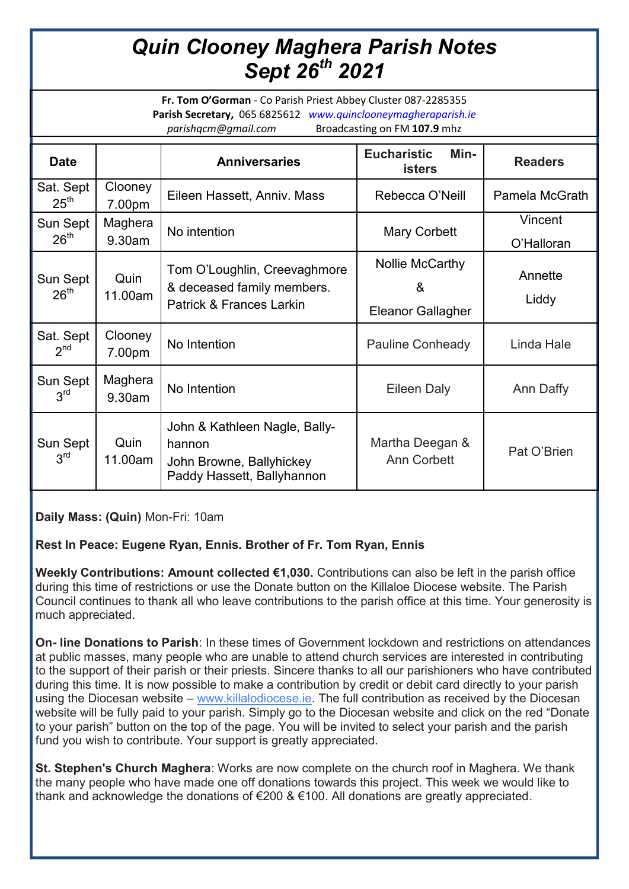## *Quin Clooney Maghera Parish Notes Sept 26th 2021*

**Fr. Tom O'Gorman** - Co Parish Priest Abbey Cluster 087-2285355 **Parish Secretary,** 065 6825612 *www.quinclooneymagheraparish.ie parishqcm@gmail.com* Broadcasting on FM **107.9** mhz

| <b>Date</b>                   |                   | <b>Anniversaries</b>                                                                              | <b>Eucharistic</b><br>Min-<br><b>isters</b>      | <b>Readers</b>        |
|-------------------------------|-------------------|---------------------------------------------------------------------------------------------------|--------------------------------------------------|-----------------------|
| Sat. Sept<br>$25^{\text{th}}$ | Clooney<br>7.00pm | Eileen Hassett, Anniv. Mass                                                                       | Rebecca O'Neill                                  | Pamela McGrath        |
| Sun Sept<br>26 <sup>th</sup>  | Maghera<br>9.30am | No intention                                                                                      | Mary Corbett                                     | Vincent<br>O'Halloran |
| Sun Sept<br>26 <sup>th</sup>  | Quin<br>11.00am   | Tom O'Loughlin, Creevaghmore<br>& deceased family members.<br>Patrick & Frances Larkin            | Nollie McCarthy<br>&<br><b>Eleanor Gallagher</b> | Annette<br>Liddy      |
| Sat. Sept<br>2 <sup>nd</sup>  | Clooney<br>7.00pm | No Intention                                                                                      | <b>Pauline Conheady</b>                          | Linda Hale            |
| Sun Sept<br>3 <sup>rd</sup>   | Maghera<br>9.30am | No Intention                                                                                      | Eileen Daly                                      | Ann Daffy             |
| Sun Sept<br>3 <sup>rd</sup>   | Quin<br>11.00am   | John & Kathleen Nagle, Bally-<br>hannon<br>John Browne, Ballyhickey<br>Paddy Hassett, Ballyhannon | Martha Deegan &<br>Ann Corbett                   | Pat O'Brien           |

**Daily Mass: (Quin)** Mon-Fri: 10am

## **Rest In Peace: Eugene Ryan, Ennis. Brother of Fr. Tom Ryan, Ennis**

**Weekly Contributions: Amount collected €1,030.** Contributions can also be left in the parish office during this time of restrictions or use the Donate button on the Killaloe Diocese website. The Parish Council continues to thank all who leave contributions to the parish office at this time. Your generosity is much appreciated.

**On- line Donations to Parish**: In these times of Government lockdown and restrictions on attendances at public masses, many people who are unable to attend church services are interested in contributing to the support of their parish or their priests. Sincere thanks to all our parishioners who have contributed during this time. It is now possible to make a contribution by credit or debit card directly to your parish using the Diocesan website – www.killalodiocese.je. The full contribution as received by the Diocesan website will be fully paid to your parish. Simply go to the Diocesan website and click on the red "Donate to your parish" button on the top of the page. You will be invited to select your parish and the parish fund you wish to contribute. Your support is greatly appreciated.

**St. Stephen's Church Maghera**: Works are now complete on the church roof in Maghera. We thank the many people who have made one off donations towards this project. This week we would like to thank and acknowledge the donations of €200 & €100. All donations are greatly appreciated.